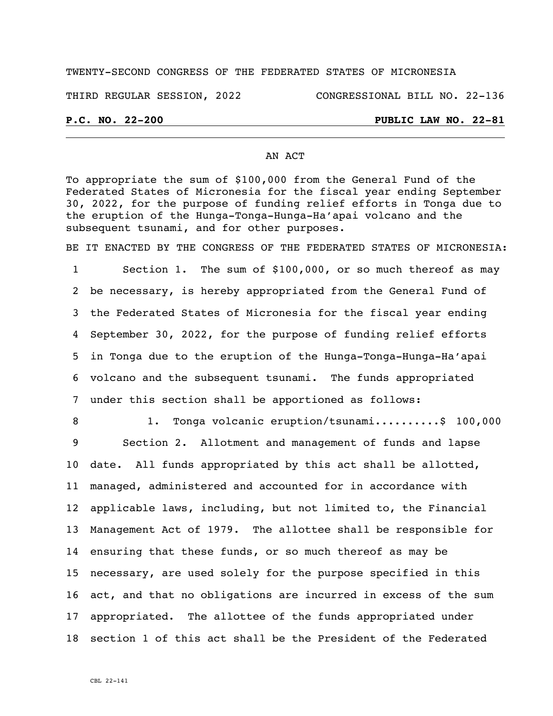## TWENTY-SECOND CONGRESS OF THE FEDERATED STATES OF MICRONESIA

THIRD REGULAR SESSION, 2022 CONGRESSIONAL BILL NO. 22-136

## **P.C. NO. 22-200 PUBLIC LAW NO. 22-81**

## AN ACT

To appropriate the sum of \$100,000 from the General Fund of the Federated States of Micronesia for the fiscal year ending September 30, 2022, for the purpose of funding relief efforts in Tonga due to the eruption of the Hunga-Tonga-Hunga-Ha'apai volcano and the subsequent tsunami, and for other purposes.

BE IT ENACTED BY THE CONGRESS OF THE FEDERATED STATES OF MICRONESIA:

 Section 1. The sum of \$100,000, or so much thereof as may be necessary, is hereby appropriated from the General Fund of the Federated States of Micronesia for the fiscal year ending September 30, 2022, for the purpose of funding relief efforts in Tonga due to the eruption of the Hunga-Tonga-Hunga-Ha'apai volcano and the subsequent tsunami. The funds appropriated under this section shall be apportioned as follows:

8 1. Tonga volcanic eruption/tsunami..........\$ 100,000

 Section 2. Allotment and management of funds and lapse date. All funds appropriated by this act shall be allotted, managed, administered and accounted for in accordance with applicable laws, including, but not limited to, the Financial Management Act of 1979. The allottee shall be responsible for ensuring that these funds, or so much thereof as may be necessary, are used solely for the purpose specified in this act, and that no obligations are incurred in excess of the sum appropriated. The allottee of the funds appropriated under section 1 of this act shall be the President of the Federated